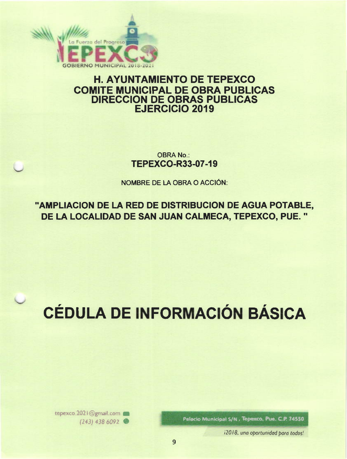

## **H. AYUNTAMIENTO DE TEPEXCO COMITE MUNICIPAL DE OBRA PUBLICAS DIRECCION DE OBRAS PUBLICAS EJERCICIO 2019**

**OBRA No.: TEPEXCO-R33-07-19** 

NOMBRE DE LA OBRA O ACCIÓN:

"AMPLIACION DE LA RED DE DISTRIBUCION DE AGUA POTABLE, DE LA LOCALIDAD DE SAN JUAN CALMECA, TEPEXCO, PUE."

## **CÉDULA DE INFORMACIÓN BÁSICA**

Palacio Municipal S/N. Tepexco, Pue. C.P. 74550

tepexco.2021@gmail.com  $(243)$  438 6092

12018, una oportunidad para todos!